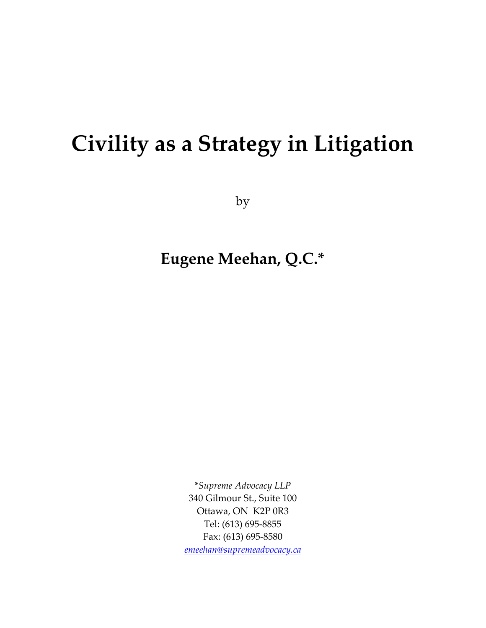# **Civility as a Strategy in Litigation**

by

**Eugene Meehan, Q.C.\*** 

\**Supreme Advocacy LLP* 340 Gilmour St., Suite 100 Ottawa, ON K2P 0R3 Tel: (613) 695-8855 Fax: (613) 695-8580 *[emeehan@supremeadvocacy.ca](mailto:emeehan@supremeadvocacy.ca)*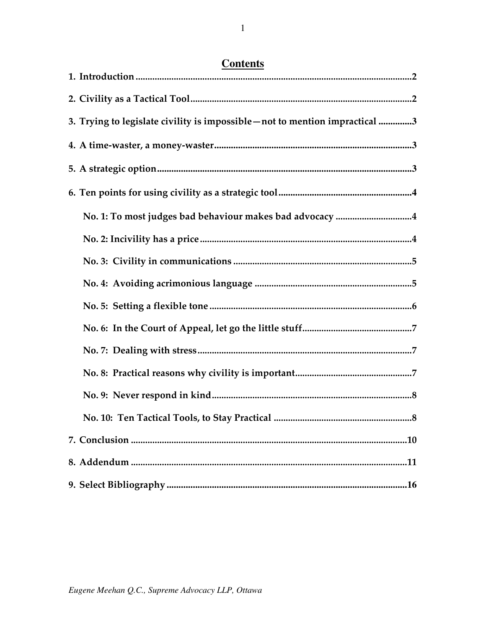| <b>Contents</b> |
|-----------------|
|-----------------|

| 3. Trying to legislate civility is impossible - not to mention impractical 3 |
|------------------------------------------------------------------------------|
|                                                                              |
|                                                                              |
|                                                                              |
| No. 1: To most judges bad behaviour makes bad advocacy 4                     |
|                                                                              |
|                                                                              |
|                                                                              |
|                                                                              |
|                                                                              |
|                                                                              |
|                                                                              |
|                                                                              |
|                                                                              |
|                                                                              |
|                                                                              |
| .16                                                                          |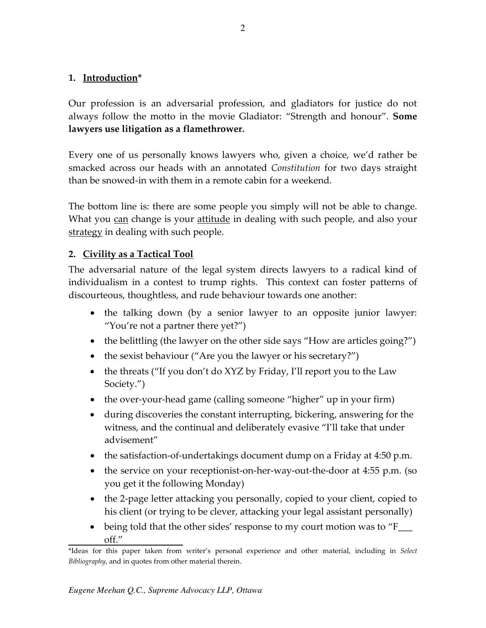## <span id="page-2-0"></span>**1. Introduction\***

Our profession is an adversarial profession, and gladiators for justice do not always follow the motto in the movie Gladiator: "Strength and honour". **Some lawyers use litigation as a flamethrower.**

Every one of us personally knows lawyers who, given a choice, we'd rather be smacked across our heads with an annotated *Constitution* for two days straight than be snowed-in with them in a remote cabin for a weekend.

The bottom line is: there are some people you simply will not be able to change. What you can change is your attitude in dealing with such people, and also your strategy in dealing with such people.

## <span id="page-2-1"></span>**2. Civility as a Tactical Tool**

The adversarial nature of the legal system directs lawyers to a radical kind of individualism in a contest to trump rights. This context can foster patterns of discourteous, thoughtless, and rude behaviour towards one another:

- the talking down (by a senior lawyer to an opposite junior lawyer: "You're not a partner there yet?")
- the belittling (the lawyer on the other side says "How are articles going?")
- the sexist behaviour ("Are you the lawyer or his secretary?")
- the threats ("If you don't do XYZ by Friday, I'll report you to the Law Society.")
- the over-your-head game (calling someone "higher" up in your firm)
- during discoveries the constant interrupting, bickering, answering for the witness, and the continual and deliberately evasive "I'll take that under advisement"
- the satisfaction-of-undertakings document dump on a Friday at 4:50 p.m.
- the service on your receptionist-on-her-way-out-the-door at 4:55 p.m. (so you get it the following Monday)
- the 2-page letter attacking you personally, copied to your client, copied to his client (or trying to be clever, attacking your legal assistant personally)
- being told that the other sides' response to my court motion was to "F\_\_\_ off."

<sup>\*</sup>Ideas for this paper taken from writer's personal experience and other material, including in *Select Bibliography*, and in quotes from other material therein.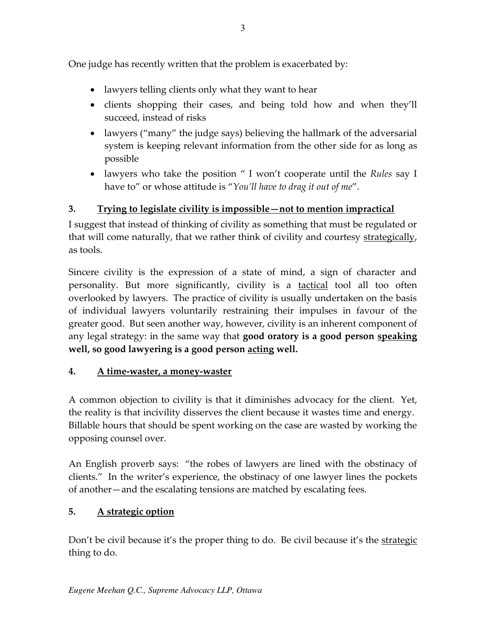One judge has recently written that the problem is exacerbated by:

- lawyers telling clients only what they want to hear
- clients shopping their cases, and being told how and when they'll succeed, instead of risks
- lawyers ("many" the judge says) believing the hallmark of the adversarial system is keeping relevant information from the other side for as long as possible
- lawyers who take the position " I won't cooperate until the *Rules* say I have to" or whose attitude is "*You'll have to drag it out of me*".

# <span id="page-3-0"></span>**3. Trying to legislate civility is impossible—not to mention impractical**

I suggest that instead of thinking of civility as something that must be regulated or that will come naturally, that we rather think of civility and courtesy strategically, as tools.

Sincere civility is the expression of a state of mind, a sign of character and personality. But more significantly, civility is a tactical tool all too often overlooked by lawyers. The practice of civility is usually undertaken on the basis of individual lawyers voluntarily restraining their impulses in favour of the greater good. But seen another way, however, civility is an inherent component of any legal strategy: in the same way that **good oratory is a good person speaking well, so good lawyering is a good person acting well.**

# <span id="page-3-1"></span>**4. A time-waster, a money-waster**

A common objection to civility is that it diminishes advocacy for the client. Yet, the reality is that incivility disserves the client because it wastes time and energy. Billable hours that should be spent working on the case are wasted by working the opposing counsel over.

An English proverb says: "the robes of lawyers are lined with the obstinacy of clients." In the writer's experience, the obstinacy of one lawyer lines the pockets of another—and the escalating tensions are matched by escalating fees.

# <span id="page-3-2"></span>**5. A strategic option**

Don't be civil because it's the proper thing to do. Be civil because it's the strategic thing to do.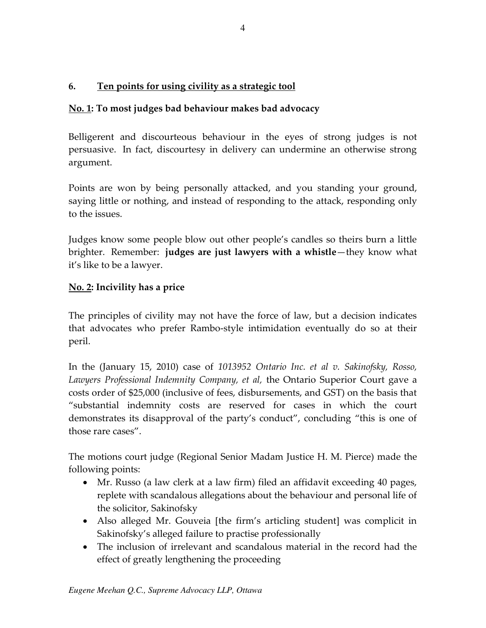# <span id="page-4-0"></span>**6. Ten points for using civility as a strategic tool**

# <span id="page-4-1"></span>**No. 1: To most judges bad behaviour makes bad advocacy**

Belligerent and discourteous behaviour in the eyes of strong judges is not persuasive. In fact, discourtesy in delivery can undermine an otherwise strong argument.

Points are won by being personally attacked, and you standing your ground, saying little or nothing, and instead of responding to the attack, responding only to the issues.

Judges know some people blow out other people's candles so theirs burn a little brighter. Remember: **judges are just lawyers with a whistle**—they know what it's like to be a lawyer.

# <span id="page-4-2"></span>**No. 2: Incivility has a price**

The principles of civility may not have the force of law, but a decision indicates that advocates who prefer Rambo-style intimidation eventually do so at their peril.

In the (January 15, 2010) case of *1013952 Ontario Inc. et al v. Sakinofsky, Rosso, Lawyers Professional Indemnity Company, et al,* the Ontario Superior Court gave a costs order of \$25,000 (inclusive of fees, disbursements, and GST) on the basis that "substantial indemnity costs are reserved for cases in which the court demonstrates its disapproval of the party's conduct", concluding "this is one of those rare cases".

The motions court judge (Regional Senior Madam Justice H. M. Pierce) made the following points:

- Mr. Russo (a law clerk at a law firm) filed an affidavit exceeding 40 pages, replete with scandalous allegations about the behaviour and personal life of the solicitor, Sakinofsky
- Also alleged Mr. Gouveia [the firm's articling student] was complicit in Sakinofsky's alleged failure to practise professionally
- The inclusion of irrelevant and scandalous material in the record had the effect of greatly lengthening the proceeding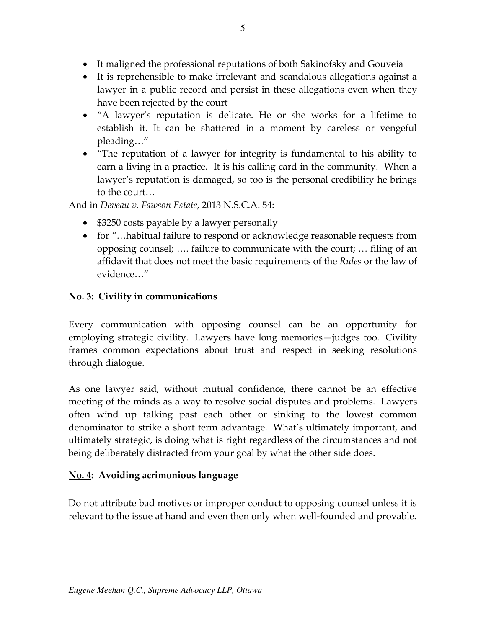- It maligned the professional reputations of both Sakinofsky and Gouveia
- It is reprehensible to make irrelevant and scandalous allegations against a lawyer in a public record and persist in these allegations even when they have been rejected by the court
- "A lawyer's reputation is delicate. He or she works for a lifetime to establish it. It can be shattered in a moment by careless or vengeful pleading…"
- "The reputation of a lawyer for integrity is fundamental to his ability to earn a living in a practice. It is his calling card in the community. When a lawyer's reputation is damaged, so too is the personal credibility he brings to the court…

And in *Deveau v. Fawson Estate*, 2013 N.S.C.A. 54:

- \$3250 costs payable by a lawyer personally
- for "...habitual failure to respond or acknowledge reasonable requests from opposing counsel; …. failure to communicate with the court; … filing of an affidavit that does not meet the basic requirements of the *Rules* or the law of evidence…"

# <span id="page-5-0"></span>**No. 3: Civility in communications**

Every communication with opposing counsel can be an opportunity for employing strategic civility. Lawyers have long memories—judges too. Civility frames common expectations about trust and respect in seeking resolutions through dialogue.

As one lawyer said, without mutual confidence, there cannot be an effective meeting of the minds as a way to resolve social disputes and problems. Lawyers often wind up talking past each other or sinking to the lowest common denominator to strike a short term advantage. What's ultimately important, and ultimately strategic, is doing what is right regardless of the circumstances and not being deliberately distracted from your goal by what the other side does.

# <span id="page-5-1"></span>**No. 4: Avoiding acrimonious language**

Do not attribute bad motives or improper conduct to opposing counsel unless it is relevant to the issue at hand and even then only when well-founded and provable.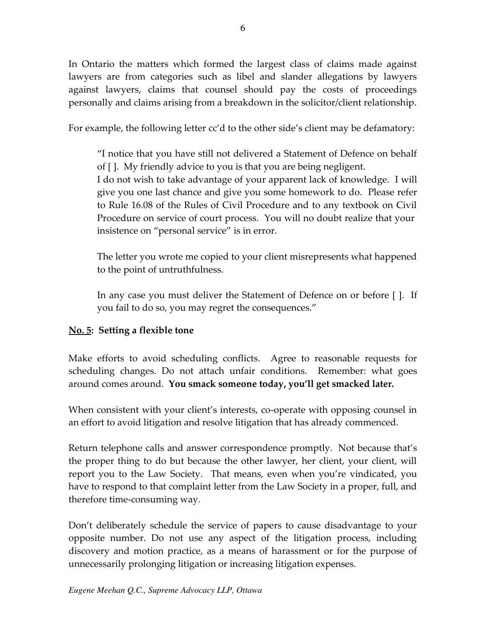In Ontario the matters which formed the largest class of claims made against lawyers are from categories such as libel and slander allegations by lawyers against lawyers, claims that counsel should pay the costs of proceedings personally and claims arising from a breakdown in the solicitor/client relationship.

For example, the following letter cc'd to the other side's client may be defamatory:

"I notice that you have still not delivered a Statement of Defence on behalf of [ ]. My friendly advice to you is that you are being negligent.

I do not wish to take advantage of your apparent lack of knowledge. I will give you one last chance and give you some homework to do. Please refer to Rule 16.08 of the Rules of Civil Procedure and to any textbook on Civil Procedure on service of court process. You will no doubt realize that your insistence on "personal service" is in error.

The letter you wrote me copied to your client misrepresents what happened to the point of untruthfulness.

In any case you must deliver the Statement of Defence on or before [ ]. If you fail to do so, you may regret the consequences."

# <span id="page-6-0"></span>**No. 5: Setting a flexible tone**

Make efforts to avoid scheduling conflicts. Agree to reasonable requests for scheduling changes. Do not attach unfair conditions. Remember: what goes around comes around. **You smack someone today, you'll get smacked later.**

When consistent with your client's interests, co-operate with opposing counsel in an effort to avoid litigation and resolve litigation that has already commenced.

Return telephone calls and answer correspondence promptly. Not because that's the proper thing to do but because the other lawyer, her client, your client, will report you to the Law Society. That means, even when you're vindicated, you have to respond to that complaint letter from the Law Society in a proper, full, and therefore time-consuming way.

Don't deliberately schedule the service of papers to cause disadvantage to your opposite number. Do not use any aspect of the litigation process, including discovery and motion practice, as a means of harassment or for the purpose of unnecessarily prolonging litigation or increasing litigation expenses.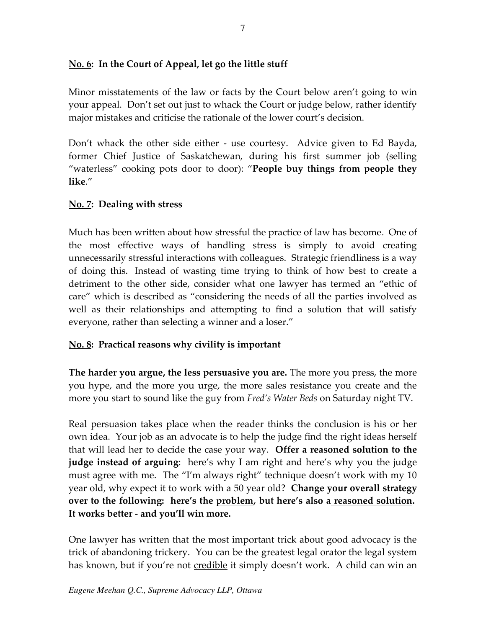# <span id="page-7-0"></span>**No. 6: In the Court of Appeal, let go the little stuff**

Minor misstatements of the law or facts by the Court below aren't going to win your appeal. Don't set out just to whack the Court or judge below, rather identify major mistakes and criticise the rationale of the lower court's decision.

Don't whack the other side either - use courtesy. Advice given to Ed Bayda, former Chief Justice of Saskatchewan, during his first summer job (selling "waterless" cooking pots door to door): "**People buy things from people they like**."

## <span id="page-7-1"></span>**No. 7: Dealing with stress**

Much has been written about how stressful the practice of law has become. One of the most effective ways of handling stress is simply to avoid creating unnecessarily stressful interactions with colleagues. Strategic friendliness is a way of doing this. Instead of wasting time trying to think of how best to create a detriment to the other side, consider what one lawyer has termed an "ethic of care" which is described as "considering the needs of all the parties involved as well as their relationships and attempting to find a solution that will satisfy everyone, rather than selecting a winner and a loser."

## <span id="page-7-2"></span>**No. 8: Practical reasons why civility is important**

**The harder you argue, the less persuasive you are.** The more you press, the more you hype, and the more you urge, the more sales resistance you create and the more you start to sound like the guy from *Fred's Water Beds* on Saturday night TV.

Real persuasion takes place when the reader thinks the conclusion is his or her <u>own</u> idea. Your job as an advocate is to help the judge find the right ideas herself that will lead her to decide the case your way. **Offer a reasoned solution to the judge instead of arguing**: here's why I am right and here's why you the judge must agree with me. The "I'm always right" technique doesn't work with my 10 year old, why expect it to work with a 50 year old? **Change your overall strategy over to the following: here's the problem, but here's also a reasoned solution. It works better - and you'll win more.**

One lawyer has written that the most important trick about good advocacy is the trick of abandoning trickery. You can be the greatest legal orator the legal system has known, but if you're not credible it simply doesn't work. A child can win an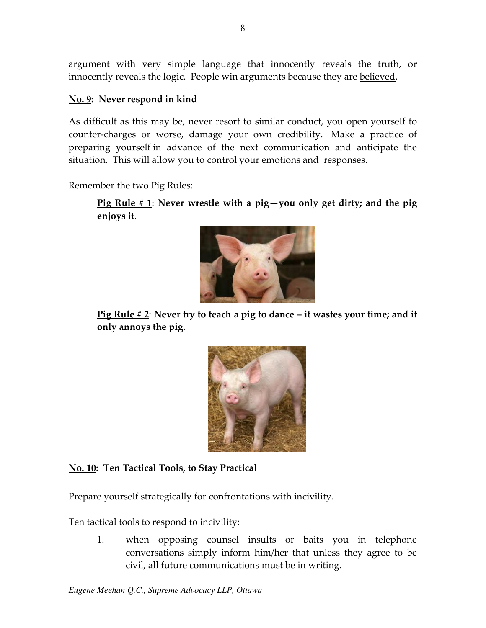argument with very simple language that innocently reveals the truth, or innocently reveals the logic. People win arguments because they are believed.

#### <span id="page-8-0"></span>**No. 9: Never respond in kind**

As difficult as this may be, never resort to similar conduct, you open yourself to counter-charges or worse, damage your own credibility. Make a practice of preparing yourself in advance of the next communication and anticipate the situation. This will allow you to control your emotions and responses.

Remember the two Pig Rules:

**Pig Rule # 1**: **Never wrestle with a pig—you only get dirty; and the pig enjoys it**.



**Pig Rule # 2**: **Never try to teach a pig to dance – it wastes your time; and it only annoys the pig.** 



<span id="page-8-1"></span>**No. 10: Ten Tactical Tools, to Stay Practical** 

Prepare yourself strategically for confrontations with incivility.

Ten tactical tools to respond to incivility:

1. when opposing counsel insults or baits you in telephone conversations simply inform him/her that unless they agree to be civil, all future communications must be in writing.

*Eugene Meehan Q.C., Supreme Advocacy LLP, Ottawa*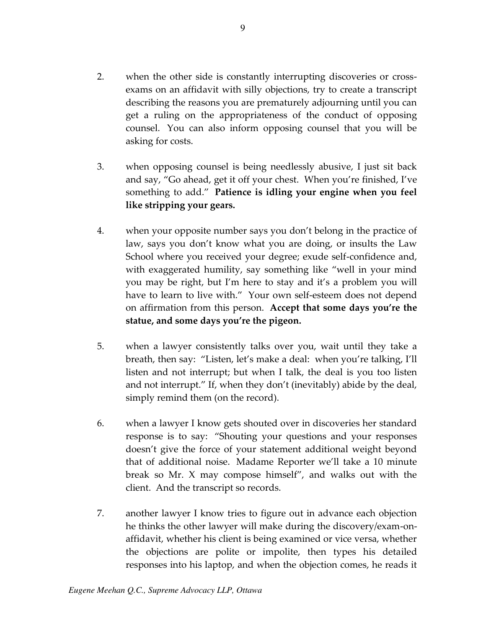- 2. when the other side is constantly interrupting discoveries or crossexams on an affidavit with silly objections, try to create a transcript describing the reasons you are prematurely adjourning until you can get a ruling on the appropriateness of the conduct of opposing counsel. You can also inform opposing counsel that you will be asking for costs.
- 3. when opposing counsel is being needlessly abusive, I just sit back and say, "Go ahead, get it off your chest. When you're finished, I've something to add." **Patience is idling your engine when you feel like stripping your gears.**
- 4. when your opposite number says you don't belong in the practice of law, says you don't know what you are doing, or insults the Law School where you received your degree; exude self-confidence and, with exaggerated humility, say something like "well in your mind you may be right, but I'm here to stay and it's a problem you will have to learn to live with." Your own self-esteem does not depend on affirmation from this person. **Accept that some days you're the statue, and some days you're the pigeon.**
- 5. when a lawyer consistently talks over you, wait until they take a breath, then say: "Listen, let's make a deal: when you're talking, I'll listen and not interrupt; but when I talk, the deal is you too listen and not interrupt." If, when they don't (inevitably) abide by the deal, simply remind them (on the record).
- 6. when a lawyer I know gets shouted over in discoveries her standard response is to say: "Shouting your questions and your responses doesn't give the force of your statement additional weight beyond that of additional noise. Madame Reporter we'll take a 10 minute break so Mr. X may compose himself", and walks out with the client. And the transcript so records.
- 7. another lawyer I know tries to figure out in advance each objection he thinks the other lawyer will make during the discovery/exam-onaffidavit, whether his client is being examined or vice versa, whether the objections are polite or impolite, then types his detailed responses into his laptop, and when the objection comes, he reads it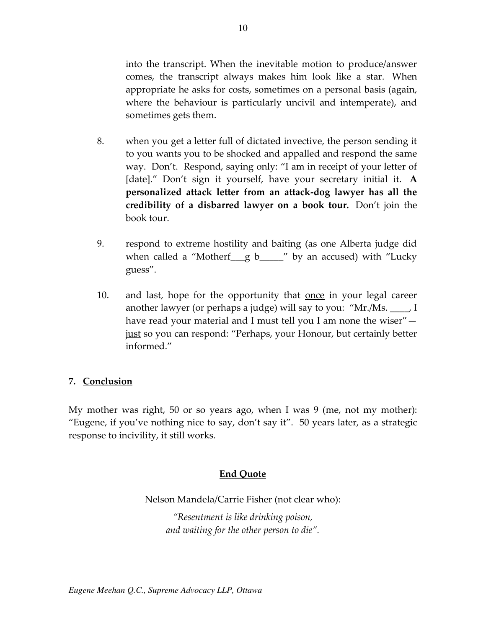into the transcript. When the inevitable motion to produce/answer comes, the transcript always makes him look like a star. When appropriate he asks for costs, sometimes on a personal basis (again, where the behaviour is particularly uncivil and intemperate), and sometimes gets them.

- 8. when you get a letter full of dictated invective, the person sending it to you wants you to be shocked and appalled and respond the same way. Don't. Respond, saying only: "I am in receipt of your letter of [date]." Don't sign it yourself, have your secretary initial it. **A personalized attack letter from an attack-dog lawyer has all the credibility of a disbarred lawyer on a book tour.** Don't join the book tour.
- 9. respond to extreme hostility and baiting (as one Alberta judge did when called a "Motherf\_g b\_\_\_\_" by an accused) with "Lucky guess".
- 10. and last, hope for the opportunity that <u>once</u> in your legal career another lawyer (or perhaps a judge) will say to you: "Mr./Ms. \_\_\_\_, I have read your material and I must tell you I am none the wiser" just so you can respond: "Perhaps, your Honour, but certainly better informed."

#### <span id="page-10-0"></span>**7. Conclusion**

My mother was right, 50 or so years ago, when I was 9 (me, not my mother): "Eugene, if you've nothing nice to say, don't say it". 50 years later, as a strategic response to incivility, it still works.

#### **End Quote**

Nelson Mandela/Carrie Fisher (not clear who):

*"Resentment is like drinking poison, and waiting for the other person to die".*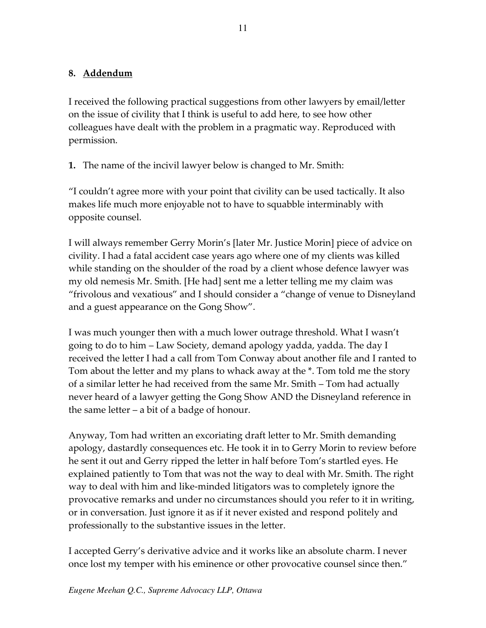## <span id="page-11-0"></span>**8. Addendum**

I received the following practical suggestions from other lawyers by email/letter on the issue of civility that I think is useful to add here, to see how other colleagues have dealt with the problem in a pragmatic way. Reproduced with permission.

**1.** The name of the incivil lawyer below is changed to Mr. Smith:

"I couldn't agree more with your point that civility can be used tactically. It also makes life much more enjoyable not to have to squabble interminably with opposite counsel.

I will always remember Gerry Morin's [later Mr. Justice Morin] piece of advice on civility. I had a fatal accident case years ago where one of my clients was killed while standing on the shoulder of the road by a client whose defence lawyer was my old nemesis Mr. Smith. [He had] sent me a letter telling me my claim was "frivolous and vexatious" and I should consider a "change of venue to Disneyland and a guest appearance on the Gong Show".

I was much younger then with a much lower outrage threshold. What I wasn't going to do to him – Law Society, demand apology yadda, yadda. The day I received the letter I had a call from Tom Conway about another file and I ranted to Tom about the letter and my plans to whack away at the \*. Tom told me the story of a similar letter he had received from the same Mr. Smith – Tom had actually never heard of a lawyer getting the Gong Show AND the Disneyland reference in the same letter – a bit of a badge of honour.

Anyway, Tom had written an excoriating draft letter to Mr. Smith demanding apology, dastardly consequences etc. He took it in to Gerry Morin to review before he sent it out and Gerry ripped the letter in half before Tom's startled eyes. He explained patiently to Tom that was not the way to deal with Mr. Smith. The right way to deal with him and like-minded litigators was to completely ignore the provocative remarks and under no circumstances should you refer to it in writing, or in conversation. Just ignore it as if it never existed and respond politely and professionally to the substantive issues in the letter.

I accepted Gerry's derivative advice and it works like an absolute charm. I never once lost my temper with his eminence or other provocative counsel since then."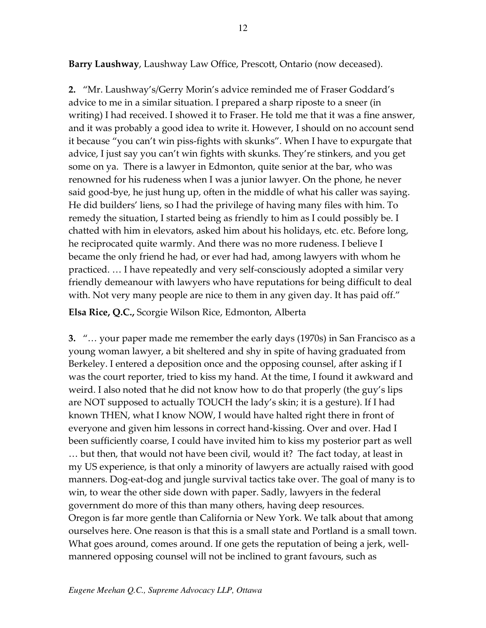**Barry Laushway**, Laushway Law Office, Prescott, Ontario (now deceased).

**2.** "Mr. Laushway's/Gerry Morin's advice reminded me of Fraser Goddard's advice to me in a similar situation. I prepared a sharp riposte to a sneer (in writing) I had received. I showed it to Fraser. He told me that it was a fine answer, and it was probably a good idea to write it. However, I should on no account send it because "you can't win piss-fights with skunks". When I have to expurgate that advice, I just say you can't win fights with skunks. They're stinkers, and you get some on ya. There is a lawyer in Edmonton, quite senior at the bar, who was renowned for his rudeness when I was a junior lawyer. On the phone, he never said good-bye, he just hung up, often in the middle of what his caller was saying. He did builders' liens, so I had the privilege of having many files with him. To remedy the situation, I started being as friendly to him as I could possibly be. I chatted with him in elevators, asked him about his holidays, etc. etc. Before long, he reciprocated quite warmly. And there was no more rudeness. I believe I became the only friend he had, or ever had had, among lawyers with whom he practiced. … I have repeatedly and very self-consciously adopted a similar very friendly demeanour with lawyers who have reputations for being difficult to deal with. Not very many people are nice to them in any given day. It has paid off."

**Elsa Rice, Q.C.,** Scorgie Wilson Rice, Edmonton, Alberta

**3.** "… your paper made me remember the early days (1970s) in San Francisco as a young woman lawyer, a bit sheltered and shy in spite of having graduated from Berkeley. I entered a deposition once and the opposing counsel, after asking if I was the court reporter, tried to kiss my hand. At the time, I found it awkward and weird. I also noted that he did not know how to do that properly (the guy's lips are NOT supposed to actually TOUCH the lady's skin; it is a gesture). If I had known THEN, what I know NOW, I would have halted right there in front of everyone and given him lessons in correct hand-kissing. Over and over. Had I been sufficiently coarse, I could have invited him to kiss my posterior part as well … but then, that would not have been civil, would it? The fact today, at least in my US experience, is that only a minority of lawyers are actually raised with good manners. Dog-eat-dog and jungle survival tactics take over. The goal of many is to win, to wear the other side down with paper. Sadly, lawyers in the federal government do more of this than many others, having deep resources. Oregon is far more gentle than California or New York. We talk about that among ourselves here. One reason is that this is a small state and Portland is a small town. What goes around, comes around. If one gets the reputation of being a jerk, wellmannered opposing counsel will not be inclined to grant favours, such as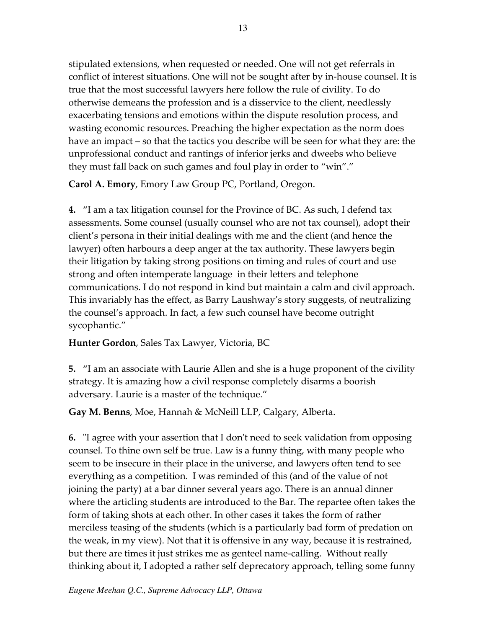stipulated extensions, when requested or needed. One will not get referrals in conflict of interest situations. One will not be sought after by in-house counsel. It is true that the most successful lawyers here follow the rule of civility. To do otherwise demeans the profession and is a disservice to the client, needlessly exacerbating tensions and emotions within the dispute resolution process, and wasting economic resources. Preaching the higher expectation as the norm does have an impact – so that the tactics you describe will be seen for what they are: the unprofessional conduct and rantings of inferior jerks and dweebs who believe they must fall back on such games and foul play in order to "win"."

**Carol A. Emory**, Emory Law Group PC, Portland, Oregon.

**4.** "I am a tax litigation counsel for the Province of BC. As such, I defend tax assessments. Some counsel (usually counsel who are not tax counsel), adopt their client's persona in their initial dealings with me and the client (and hence the lawyer) often harbours a deep anger at the tax authority. These lawyers begin their litigation by taking strong positions on timing and rules of court and use strong and often intemperate language in their letters and telephone communications. I do not respond in kind but maintain a calm and civil approach. This invariably has the effect, as Barry Laushway's story suggests, of neutralizing the counsel's approach. In fact, a few such counsel have become outright sycophantic."

**Hunter Gordon**, Sales Tax Lawyer, Victoria, BC

**5.** "I am an associate with Laurie Allen and she is a huge proponent of the civility strategy. It is amazing how a civil response completely disarms a boorish adversary. Laurie is a master of the technique."

**Gay M. Benns**, Moe, Hannah & McNeill LLP, Calgary, Alberta.

**6.** "I agree with your assertion that I don't need to seek validation from opposing counsel. To thine own self be true. Law is a funny thing, with many people who seem to be insecure in their place in the universe, and lawyers often tend to see everything as a competition. I was reminded of this (and of the value of not joining the party) at a bar dinner several years ago. There is an annual dinner where the articling students are introduced to the Bar. The repartee often takes the form of taking shots at each other. In other cases it takes the form of rather merciless teasing of the students (which is a particularly bad form of predation on the weak, in my view). Not that it is offensive in any way, because it is restrained, but there are times it just strikes me as genteel name-calling. Without really thinking about it, I adopted a rather self deprecatory approach, telling some funny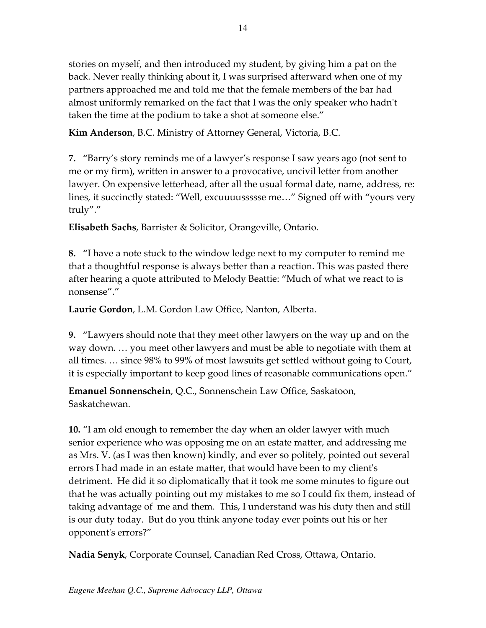stories on myself, and then introduced my student, by giving him a pat on the back. Never really thinking about it, I was surprised afterward when one of my partners approached me and told me that the female members of the bar had almost uniformly remarked on the fact that I was the only speaker who hadn't taken the time at the podium to take a shot at someone else."

**Kim Anderson**, B.C. Ministry of Attorney General, Victoria, B.C.

**7.** "Barry's story reminds me of a lawyer's response I saw years ago (not sent to me or my firm), written in answer to a provocative, uncivil letter from another lawyer. On expensive letterhead, after all the usual formal date, name, address, re: lines, it succinctly stated: "Well, excuuuussssse me…" Signed off with "yours very truly"."

**Elisabeth Sachs**, Barrister & Solicitor, Orangeville, Ontario.

**8.** "I have a note stuck to the window ledge next to my computer to remind me that a thoughtful response is always better than a reaction. This was pasted there after hearing a quote attributed to Melody Beattie: "Much of what we react to is nonsense"."

**Laurie Gordon**, L.M. Gordon Law Office, Nanton, Alberta.

**9.** "Lawyers should note that they meet other lawyers on the way up and on the way down. … you meet other lawyers and must be able to negotiate with them at all times. … since 98% to 99% of most lawsuits get settled without going to Court, it is especially important to keep good lines of reasonable communications open."

**Emanuel Sonnenschein**, Q.C., Sonnenschein Law Office, Saskatoon, Saskatchewan.

**10.** "I am old enough to remember the day when an older lawyer with much senior experience who was opposing me on an estate matter, and addressing me as Mrs. V. (as I was then known) kindly, and ever so politely, pointed out several errors I had made in an estate matter, that would have been to my client's detriment. He did it so diplomatically that it took me some minutes to figure out that he was actually pointing out my mistakes to me so I could fix them, instead of taking advantage of me and them. This, I understand was his duty then and still is our duty today. But do you think anyone today ever points out his or her opponent's errors?"

**Nadia Senyk**, Corporate Counsel, Canadian Red Cross, Ottawa, Ontario.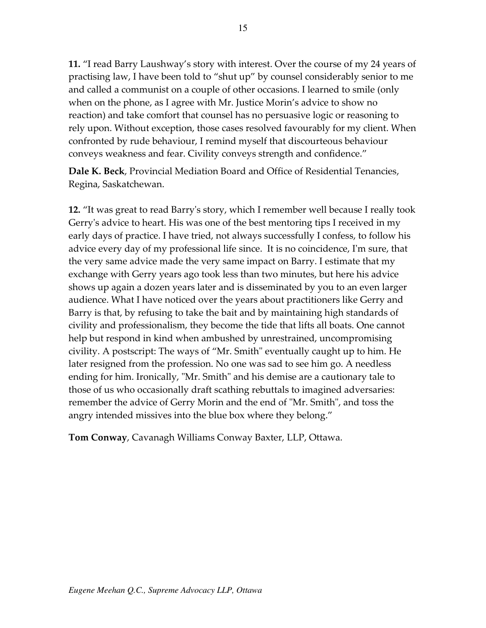**11.** "I read Barry Laushway's story with interest. Over the course of my 24 years of practising law, I have been told to "shut up" by counsel considerably senior to me and called a communist on a couple of other occasions. I learned to smile (only when on the phone, as I agree with Mr. Justice Morin's advice to show no reaction) and take comfort that counsel has no persuasive logic or reasoning to rely upon. Without exception, those cases resolved favourably for my client. When confronted by rude behaviour, I remind myself that discourteous behaviour conveys weakness and fear. Civility conveys strength and confidence."

**Dale K. Beck**, Provincial Mediation Board and Office of Residential Tenancies, Regina, Saskatchewan.

**12.** "It was great to read Barry's story, which I remember well because I really took Gerry's advice to heart. His was one of the best mentoring tips I received in my early days of practice. I have tried, not always successfully I confess, to follow his advice every day of my professional life since. It is no coincidence, I'm sure, that the very same advice made the very same impact on Barry. I estimate that my exchange with Gerry years ago took less than two minutes, but here his advice shows up again a dozen years later and is disseminated by you to an even larger audience. What I have noticed over the years about practitioners like Gerry and Barry is that, by refusing to take the bait and by maintaining high standards of civility and professionalism, they become the tide that lifts all boats. One cannot help but respond in kind when ambushed by unrestrained, uncompromising civility. A postscript: The ways of "Mr. Smith" eventually caught up to him. He later resigned from the profession. No one was sad to see him go. A needless ending for him. Ironically, "Mr. Smith" and his demise are a cautionary tale to those of us who occasionally draft scathing rebuttals to imagined adversaries: remember the advice of Gerry Morin and the end of "Mr. Smith", and toss the angry intended missives into the blue box where they belong."

**Tom Conway**, Cavanagh Williams Conway Baxter, LLP, Ottawa.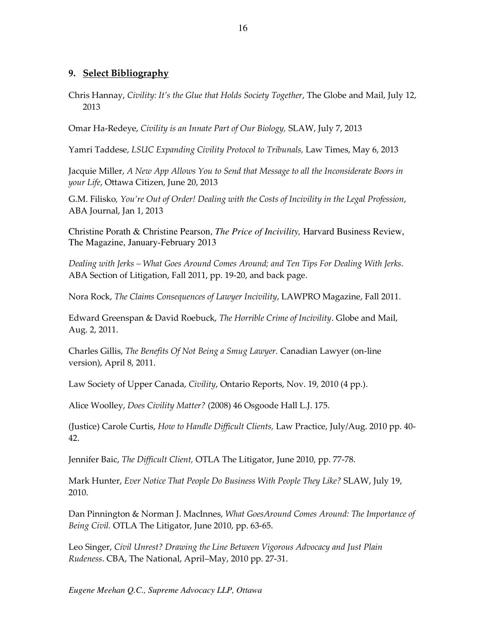#### <span id="page-16-0"></span>**9. Select Bibliography**

Chris Hannay, *Civility: It's the Glue that Holds Society Together*, The Globe and Mail, July 12, 2013

Omar Ha-Redeye, *Civility is an Innate Part of Our Biology,* SLAW, July 7, 2013

Yamri Taddese, *LSUC Expanding Civility Protocol to Tribunals,* Law Times, May 6, 2013

Jacquie Miller, *A New App Allows You to Send that Message to all the Inconsiderate Boors in your Life*, Ottawa Citizen, June 20, 2013

G.M. Filisko*, You're Out of Order! Dealing with the Costs of Incivility in the Legal Profession*, ABA Journal, Jan 1, 2013

Christine Porath & Christine Pearson, *The Price of Incivility,* Harvard Business Review, The Magazine, January-February 2013

*Dealing with Jerks – What Goes Around Comes Around; and Ten Tips For Dealing With Jerks*. ABA Section of Litigation, Fall 2011, pp. 19-20, and back page.

Nora Rock, *The Claims Consequences of Lawyer Incivility*, LAWPRO Magazine, Fall 2011.

Edward Greenspan & David Roebuck, *The Horrible Crime of Incivility*. Globe and Mail, Aug. 2, 2011.

Charles Gillis, *The Benefits Of Not Being a Smug Lawyer.* Canadian Lawyer (on-line version), April 8, 2011.

Law Society of Upper Canada, *Civility*, Ontario Reports, Nov. 19, 2010 (4 pp.).

Alice Woolley, *Does Civility Matter?* (2008) 46 Osgoode Hall L.J. 175.

(Justice) Carole Curtis, *How to Handle Difficult Clients,* Law Practice, July/Aug. 2010 pp. 40- 42.

Jennifer Baic, *The Difficult Client,* OTLA The Litigator, June 2010, pp. 77-78.

Mark Hunter, *Ever Notice That People Do Business With People They Like?* SLAW, July 19, 2010.

Dan Pinnington & Norman J. MacInnes, *What GoesAround Comes Around: The Importance of Being Civil.* OTLA The Litigator, June 2010, pp. 63-65.

Leo Singer, *Civil Unrest? Drawing the Line Between Vigorous Advocacy and Just Plain Rudeness*. CBA, The National, April–May, 2010 pp. 27-31.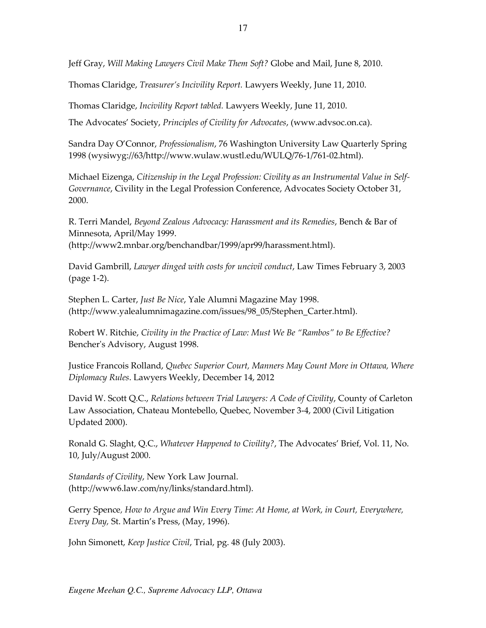Jeff Gray, *Will Making Lawyers Civil Make Them Soft?* Globe and Mail, June 8, 2010.

Thomas Claridge, *Treasurer's Incivility Report.* Lawyers Weekly, June 11, 2010.

Thomas Claridge, *Incivility Report tabled.* Lawyers Weekly, June 11, 2010.

The Advocates' Society, *Principles of Civility for Advocates*, (www.advsoc.on.ca).

Sandra Day O'Connor, *Professionalism*, 76 Washington University Law Quarterly Spring 1998 (wysiwyg://63/http://www.wulaw.wustl.edu/WULQ/76-1/761-02.html).

Michael Eizenga, *Citizenship in the Legal Profession: Civility as an Instrumental Value in Self-Governance*, Civility in the Legal Profession Conference, Advocates Society October 31, 2000.

R. Terri Mandel, *Beyond Zealous Advocacy: Harassment and its Remedies*, Bench & Bar of Minnesota, April/May 1999. (http://www2.mnbar.org/benchandbar/1999/apr99/harassment.html).

David Gambrill, *Lawyer dinged with costs for uncivil conduct*, Law Times February 3, 2003 (page 1-2).

Stephen L. Carter, *Just Be Nice*, Yale Alumni Magazine May 1998. (http://www.yalealumnimagazine.com/issues/98\_05/Stephen\_Carter.html).

Robert W. Ritchie, *Civility in the Practice of Law: Must We Be "Rambos" to Be Effective?*  Bencher's Advisory, August 1998.

Justice Francois Rolland, *Quebec Superior Court, Manners May Count More in Ottawa, Where Diplomacy Rules*. Lawyers Weekly, December 14, 2012

David W. Scott Q.C., *Relations between Trial Lawyers: A Code of Civility*, County of Carleton Law Association, Chateau Montebello, Quebec, November 3-4, 2000 (Civil Litigation Updated 2000).

Ronald G. Slaght, Q.C., *Whatever Happened to Civility?*, The Advocates' Brief, Vol. 11, No. 10, July/August 2000.

*Standards of Civility*, New York Law Journal. (http://www6.law.com/ny/links/standard.html).

Gerry Spence*, How to Argue and Win Every Time: At Home, at Work, in Court, Everywhere, Every Day,* St. Martin's Press, (May, 1996).

John Simonett, *Keep Justice Civil*, Trial, pg. 48 (July 2003).